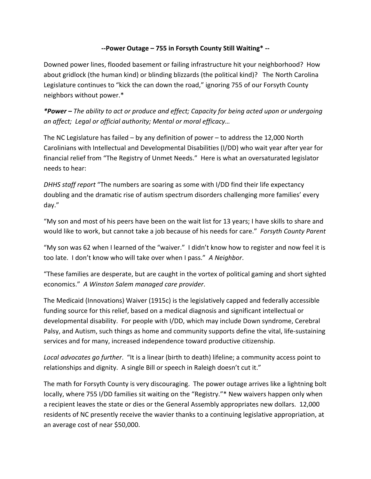## **--Power Outage – 755 in Forsyth County Still Waiting\* --**

Downed power lines, flooded basement or failing infrastructure hit your neighborhood? How about gridlock (the human kind) or blinding blizzards (the political kind)? The North Carolina Legislature continues to "kick the can down the road," ignoring 755 of our Forsyth County neighbors without power.\*

*\*Power – The ability to act or produce and effect; Capacity for being acted upon or undergoing an affect; Legal or official authority; Mental or moral efficacy…*

The NC Legislature has failed – by any definition of power – to address the 12,000 North Carolinians with Intellectual and Developmental Disabilities (I/DD) who wait year after year for financial relief from "The Registry of Unmet Needs." Here is what an oversaturated legislator needs to hear:

*DHHS staff report* "The numbers are soaring as some with I/DD find their life expectancy doubling and the dramatic rise of autism spectrum disorders challenging more families' every day."

"My son and most of his peers have been on the wait list for 13 years; I have skills to share and would like to work, but cannot take a job because of his needs for care." *Forsyth County Parent*

"My son was 62 when I learned of the "waiver." I didn't know how to register and now feel it is too late. I don't know who will take over when I pass." *A Neighbor*.

"These families are desperate, but are caught in the vortex of political gaming and short sighted economics." *A Winston Salem managed care provider*.

The Medicaid (Innovations) Waiver (1915c) is the legislatively capped and federally accessible funding source for this relief, based on a medical diagnosis and significant intellectual or developmental disability. For people with I/DD, which may include Down syndrome, Cerebral Palsy, and Autism, such things as home and community supports define the vital, life-sustaining services and for many, increased independence toward productive citizenship.

*Local advocates go further*. "It is a linear (birth to death) lifeline; a community access point to relationships and dignity. A single Bill or speech in Raleigh doesn't cut it."

The math for Forsyth County is very discouraging. The power outage arrives like a lightning bolt locally, where 755 I/DD families sit waiting on the "Registry."\* New waivers happen only when a recipient leaves the state or dies or the General Assembly appropriates new dollars. 12,000 residents of NC presently receive the wavier thanks to a continuing legislative appropriation, at an average cost of near \$50,000.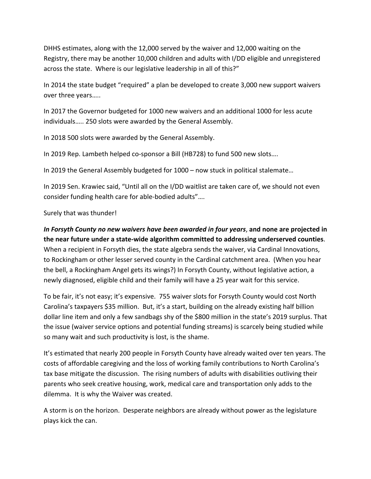DHHS estimates, along with the 12,000 served by the waiver and 12,000 waiting on the Registry, there may be another 10,000 children and adults with I/DD eligible and unregistered across the state. Where is our legislative leadership in all of this?"

In 2014 the state budget "required" a plan be developed to create 3,000 new support waivers over three years…..

In 2017 the Governor budgeted for 1000 new waivers and an additional 1000 for less acute individuals….. 250 slots were awarded by the General Assembly.

In 2018 500 slots were awarded by the General Assembly.

In 2019 Rep. Lambeth helped co-sponsor a Bill (HB728) to fund 500 new slots….

In 2019 the General Assembly budgeted for 1000 – now stuck in political stalemate…

In 2019 Sen. Krawiec said, "Until all on the I/DD waitlist are taken care of, we should not even consider funding health care for able-bodied adults"….

Surely that was thunder!

*In Forsyth County no new waivers have been awarded in four years*, **and none are projected in the near future under a state-wide algorithm committed to addressing underserved counties**. When a recipient in Forsyth dies, the state algebra sends the waiver, via Cardinal Innovations, to Rockingham or other lesser served county in the Cardinal catchment area. (When you hear the bell, a Rockingham Angel gets its wings?) In Forsyth County, without legislative action, a newly diagnosed, eligible child and their family will have a 25 year wait for this service.

To be fair, it's not easy; it's expensive. 755 waiver slots for Forsyth County would cost North Carolina's taxpayers \$35 million. But, it's a start, building on the already existing half billion dollar line item and only a few sandbags shy of the \$800 million in the state's 2019 surplus. That the issue (waiver service options and potential funding streams) is scarcely being studied while so many wait and such productivity is lost, is the shame.

It's estimated that nearly 200 people in Forsyth County have already waited over ten years. The costs of affordable caregiving and the loss of working family contributions to North Carolina's tax base mitigate the discussion. The rising numbers of adults with disabilities outliving their parents who seek creative housing, work, medical care and transportation only adds to the dilemma. It is why the Waiver was created.

A storm is on the horizon. Desperate neighbors are already without power as the legislature plays kick the can.